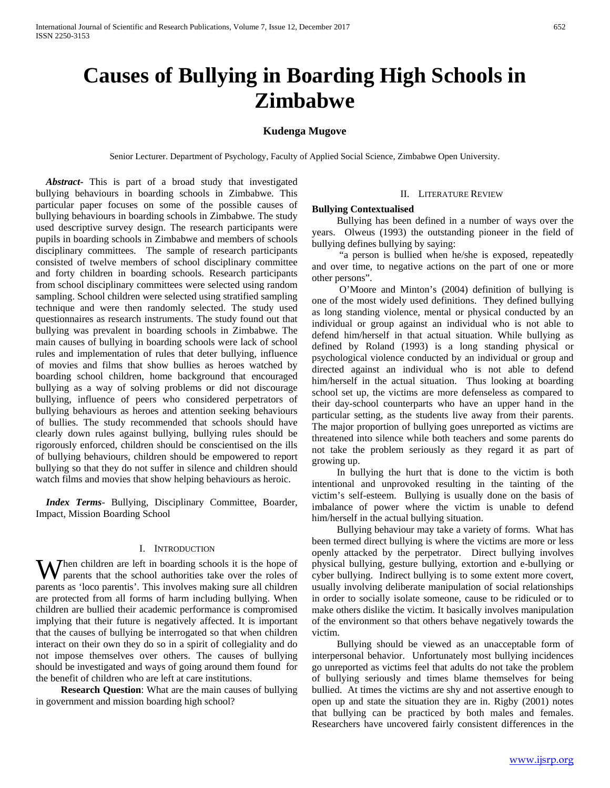# **Causes of Bullying in Boarding High Schools in Zimbabwe**

## **Kudenga Mugove**

Senior Lecturer. Department of Psychology, Faculty of Applied Social Science, Zimbabwe Open University.

 *Abstract***-** This is part of a broad study that investigated bullying behaviours in boarding schools in Zimbabwe. This particular paper focuses on some of the possible causes of bullying behaviours in boarding schools in Zimbabwe. The study used descriptive survey design. The research participants were pupils in boarding schools in Zimbabwe and members of schools disciplinary committees. The sample of research participants consisted of twelve members of school disciplinary committee and forty children in boarding schools. Research participants from school disciplinary committees were selected using random sampling. School children were selected using stratified sampling technique and were then randomly selected. The study used questionnaires as research instruments. The study found out that bullying was prevalent in boarding schools in Zimbabwe. The main causes of bullying in boarding schools were lack of school rules and implementation of rules that deter bullying, influence of movies and films that show bullies as heroes watched by boarding school children, home background that encouraged bullying as a way of solving problems or did not discourage bullying, influence of peers who considered perpetrators of bullying behaviours as heroes and attention seeking behaviours of bullies. The study recommended that schools should have clearly down rules against bullying, bullying rules should be rigorously enforced, children should be conscientised on the ills of bullying behaviours, children should be empowered to report bullying so that they do not suffer in silence and children should watch films and movies that show helping behaviours as heroic.

 *Index Terms*- Bullying, Disciplinary Committee, Boarder, Impact, Mission Boarding School

#### I. INTRODUCTION

 $\mathbf{W}$  hen children are left in boarding schools it is the hope of parents that the school authorities take over the roles of parents that the school authorities take over the roles of parents as 'loco parentis'. This involves making sure all children are protected from all forms of harm including bullying. When children are bullied their academic performance is compromised implying that their future is negatively affected. It is important that the causes of bullying be interrogated so that when children interact on their own they do so in a spirit of collegiality and do not impose themselves over others. The causes of bullying should be investigated and ways of going around them found for the benefit of children who are left at care institutions.

 **Research Question**: What are the main causes of bullying in government and mission boarding high school?

#### II. LITERATURE REVIEW

#### **Bullying Contextualised**

Bullying has been defined in a number of ways over the years. Olweus (1993) the outstanding pioneer in the field of bullying defines bullying by saying:

"a person is bullied when he/she is exposed, repeatedly and over time, to negative actions on the part of one or more other persons".

O'Moore and Minton's (2004) definition of bullying is one of the most widely used definitions. They defined bullying as long standing violence, mental or physical conducted by an individual or group against an individual who is not able to defend him/herself in that actual situation. While bullying as defined by Roland (1993) is a long standing physical or psychological violence conducted by an individual or group and directed against an individual who is not able to defend him/herself in the actual situation. Thus looking at boarding school set up, the victims are more defenseless as compared to their day-school counterparts who have an upper hand in the particular setting, as the students live away from their parents. The major proportion of bullying goes unreported as victims are threatened into silence while both teachers and some parents do not take the problem seriously as they regard it as part of growing up.

In bullying the hurt that is done to the victim is both intentional and unprovoked resulting in the tainting of the victim's self-esteem. Bullying is usually done on the basis of imbalance of power where the victim is unable to defend him/herself in the actual bullying situation.

Bullying behaviour may take a variety of forms. What has been termed direct bullying is where the victims are more or less openly attacked by the perpetrator. Direct bullying involves physical bullying, gesture bullying, extortion and e-bullying or cyber bullying. Indirect bullying is to some extent more covert, usually involving deliberate manipulation of social relationships in order to socially isolate someone, cause to be ridiculed or to make others dislike the victim. It basically involves manipulation of the environment so that others behave negatively towards the victim.

Bullying should be viewed as an unacceptable form of interpersonal behavior. Unfortunately most bullying incidences go unreported as victims feel that adults do not take the problem of bullying seriously and times blame themselves for being bullied. At times the victims are shy and not assertive enough to open up and state the situation they are in. Rigby (2001) notes that bullying can be practiced by both males and females. Researchers have uncovered fairly consistent differences in the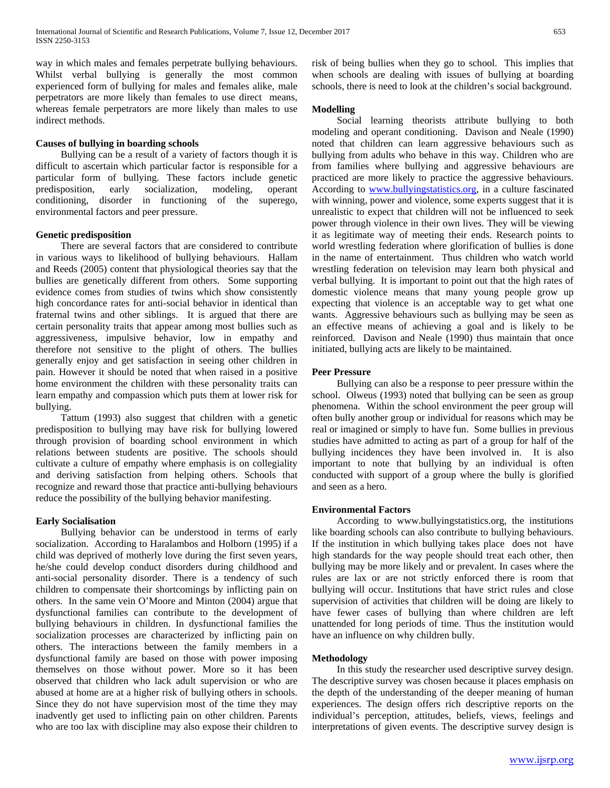way in which males and females perpetrate bullying behaviours. Whilst verbal bullying is generally the most common experienced form of bullying for males and females alike, male perpetrators are more likely than females to use direct means, whereas female perpetrators are more likely than males to use indirect methods.

## **Causes of bullying in boarding schools**

Bullying can be a result of a variety of factors though it is difficult to ascertain which particular factor is responsible for a particular form of bullying. These factors include genetic predisposition, early socialization, modeling, operant conditioning, disorder in functioning of the superego, environmental factors and peer pressure.

## **Genetic predisposition**

There are several factors that are considered to contribute in various ways to likelihood of bullying behaviours. Hallam and Reeds (2005) content that physiological theories say that the bullies are genetically different from others. Some supporting evidence comes from studies of twins which show consistently high concordance rates for anti-social behavior in identical than fraternal twins and other siblings. It is argued that there are certain personality traits that appear among most bullies such as aggressiveness, impulsive behavior, low in empathy and therefore not sensitive to the plight of others. The bullies generally enjoy and get satisfaction in seeing other children in pain. However it should be noted that when raised in a positive home environment the children with these personality traits can learn empathy and compassion which puts them at lower risk for bullying.

Tattum (1993) also suggest that children with a genetic predisposition to bullying may have risk for bullying lowered through provision of boarding school environment in which relations between students are positive. The schools should cultivate a culture of empathy where emphasis is on collegiality and deriving satisfaction from helping others. Schools that recognize and reward those that practice anti-bullying behaviours reduce the possibility of the bullying behavior manifesting.

## **Early Socialisation**

Bullying behavior can be understood in terms of early socialization. According to Haralambos and Holborn (1995) if a child was deprived of motherly love during the first seven years, he/she could develop conduct disorders during childhood and anti-social personality disorder. There is a tendency of such children to compensate their shortcomings by inflicting pain on others. In the same vein O'Moore and Minton (2004) argue that dysfunctional families can contribute to the development of bullying behaviours in children. In dysfunctional families the socialization processes are characterized by inflicting pain on others. The interactions between the family members in a dysfunctional family are based on those with power imposing themselves on those without power. More so it has been observed that children who lack adult supervision or who are abused at home are at a higher risk of bullying others in schools. Since they do not have supervision most of the time they may inadvently get used to inflicting pain on other children. Parents who are too lax with discipline may also expose their children to risk of being bullies when they go to school. This implies that when schools are dealing with issues of bullying at boarding schools, there is need to look at the children's social background.

## **Modelling**

Social learning theorists attribute bullying to both modeling and operant conditioning. Davison and Neale (1990) noted that children can learn aggressive behaviours such as bullying from adults who behave in this way. Children who are from families where bullying and aggressive behaviours are practiced are more likely to practice the aggressive behaviours. According to [www.bullyingstatistics.org,](http://www.bullyingstatistics.org/) in a culture fascinated with winning, power and violence, some experts suggest that it is unrealistic to expect that children will not be influenced to seek power through violence in their own lives. They will be viewing it as legitimate way of meeting their ends. Research points to world wrestling federation where glorification of bullies is done in the name of entertainment. Thus children who watch world wrestling federation on television may learn both physical and verbal bullying. It is important to point out that the high rates of domestic violence means that many young people grow up expecting that violence is an acceptable way to get what one wants. Aggressive behaviours such as bullying may be seen as an effective means of achieving a goal and is likely to be reinforced. Davison and Neale (1990) thus maintain that once initiated, bullying acts are likely to be maintained.

## **Peer Pressure**

Bullying can also be a response to peer pressure within the school. Olweus (1993) noted that bullying can be seen as group phenomena. Within the school environment the peer group will often bully another group or individual for reasons which may be real or imagined or simply to have fun. Some bullies in previous studies have admitted to acting as part of a group for half of the bullying incidences they have been involved in. It is also important to note that bullying by an individual is often conducted with support of a group where the bully is glorified and seen as a hero.

#### **Environmental Factors**

According to www.bullyingstatistics.org, the institutions like boarding schools can also contribute to bullying behaviours. If the institution in which bullying takes place does not have high standards for the way people should treat each other, then bullying may be more likely and or prevalent. In cases where the rules are lax or are not strictly enforced there is room that bullying will occur. Institutions that have strict rules and close supervision of activities that children will be doing are likely to have fewer cases of bullying than where children are left unattended for long periods of time. Thus the institution would have an influence on why children bully.

#### **Methodology**

In this study the researcher used descriptive survey design. The descriptive survey was chosen because it places emphasis on the depth of the understanding of the deeper meaning of human experiences. The design offers rich descriptive reports on the individual's perception, attitudes, beliefs, views, feelings and interpretations of given events. The descriptive survey design is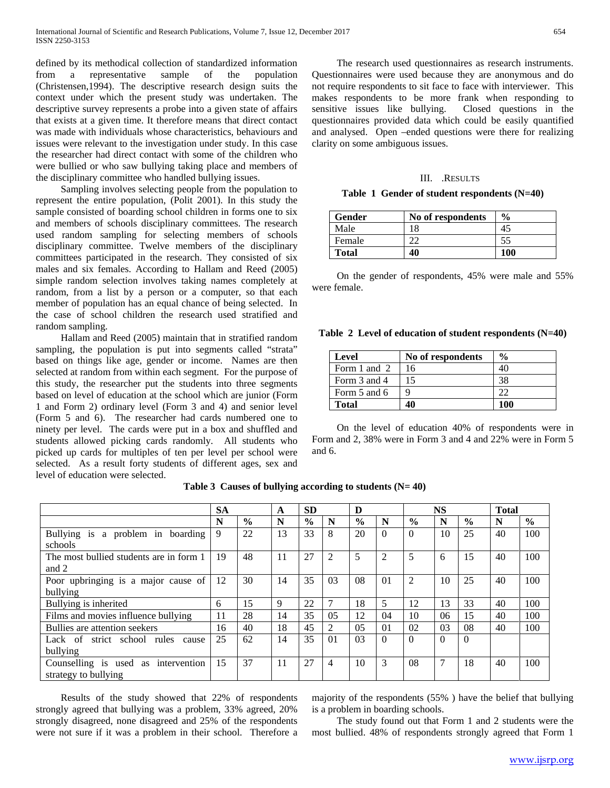defined by its methodical collection of standardized information from a representative sample of the population (Christensen,1994). The descriptive research design suits the context under which the present study was undertaken. The descriptive survey represents a probe into a given state of affairs that exists at a given time. It therefore means that direct contact was made with individuals whose characteristics, behaviours and issues were relevant to the investigation under study. In this case the researcher had direct contact with some of the children who were bullied or who saw bullying taking place and members of the disciplinary committee who handled bullying issues.

Sampling involves selecting people from the population to represent the entire population, (Polit 2001). In this study the sample consisted of boarding school children in forms one to six and members of schools disciplinary committees. The research used random sampling for selecting members of schools disciplinary committee. Twelve members of the disciplinary committees participated in the research. They consisted of six males and six females. According to Hallam and Reed (2005) simple random selection involves taking names completely at random, from a list by a person or a computer, so that each member of population has an equal chance of being selected. In the case of school children the research used stratified and random sampling.

Hallam and Reed (2005) maintain that in stratified random sampling, the population is put into segments called "strata" based on things like age, gender or income. Names are then selected at random from within each segment. For the purpose of this study, the researcher put the students into three segments based on level of education at the school which are junior (Form 1 and Form 2) ordinary level (Form 3 and 4) and senior level (Form 5 and 6). The researcher had cards numbered one to ninety per level. The cards were put in a box and shuffled and students allowed picking cards randomly. All students who picked up cards for multiples of ten per level per school were selected. As a result forty students of different ages, sex and level of education were selected.

The research used questionnaires as research instruments. Questionnaires were used because they are anonymous and do not require respondents to sit face to face with interviewer. This makes respondents to be more frank when responding to sensitive issues like bullying. Closed questions in the questionnaires provided data which could be easily quantified and analysed. Open –ended questions were there for realizing clarity on some ambiguous issues.

#### III. .RESULTS

|  |  | Table 1 Gender of student respondents (N=40) |  |
|--|--|----------------------------------------------|--|
|--|--|----------------------------------------------|--|

| <b>Gender</b> | No of respondents | $\frac{6}{9}$ |
|---------------|-------------------|---------------|
| Male          |                   | 45            |
| Female        |                   | 55            |
| <b>Total</b>  | 40                | 100           |

On the gender of respondents, 45% were male and 55% were female.

|  |  |  |  |  |  |  | Table 2 Level of education of student respondents (N=40) |  |  |
|--|--|--|--|--|--|--|----------------------------------------------------------|--|--|
|--|--|--|--|--|--|--|----------------------------------------------------------|--|--|

| Level        | No of respondents | $\frac{6}{9}$ |
|--------------|-------------------|---------------|
| Form 1 and 2 | 16                |               |
| Form 3 and 4 | 15                | 38            |
| Form 5 and 6 |                   | つつ            |
| <b>Total</b> |                   | 100           |

On the level of education 40% of respondents were in Form and 2, 38% were in Form 3 and 4 and 22% were in Form 5 and 6.

|                                         | <b>SA</b> |               | <b>SD</b><br>A |               |                | D              |                |          | <b>NS</b> | <b>Total</b>  |    |               |
|-----------------------------------------|-----------|---------------|----------------|---------------|----------------|----------------|----------------|----------|-----------|---------------|----|---------------|
|                                         | N         | $\frac{0}{0}$ | N              | $\frac{0}{0}$ | N              | $\frac{0}{0}$  | N              | $\%$     | N         | $\frac{0}{0}$ | N  | $\frac{0}{0}$ |
| Bullying is a problem in boarding       | 9         | 22            | 13             | 33            | 8              | 20             | $\Omega$       | $\Omega$ | 10        | 25            | 40 | 100           |
| schools                                 |           |               |                |               |                |                |                |          |           |               |    |               |
| The most bullied students are in form 1 | 19        | 48            | 11             | 27            | 2              | 5              | 2              | 5        | 6         | 15            | 40 | 100           |
| and 2                                   |           |               |                |               |                |                |                |          |           |               |    |               |
| Poor upbringing is a major cause of     |           | 30            | 14             | 35            | 03             | 08             | 01             | 2        | 10        | 25            | 40 | 100           |
| bullying                                |           |               |                |               |                |                |                |          |           |               |    |               |
| Bullying is inherited                   | 6         | 15            | 9              | 22            |                | 18             | 5              | 12       | 13        | 33            | 40 | 100           |
| Films and movies influence bullying     | 11        | 28            | 14             | 35            | 05             | 12             | 04             | 10       | 06        | 15            | 40 | 100           |
| Bullies are attention seekers           | 16        | 40            | 18             | 45            | $\mathfrak{D}$ | 0 <sub>5</sub> | 0 <sub>1</sub> | 02       | 03        | 08            | 40 | 100           |
| Lack of strict school rules<br>cause    | 25        | 62            | 14             | 35            | 01             | 03             | $\Omega$       | $\Omega$ | $\Omega$  | $\Omega$      |    |               |
| bullying                                |           |               |                |               |                |                |                |          |           |               |    |               |
| Counselling is used as intervention     | 15        | 37            | 11             | 27            | 4              | 10             | 3              | 08       | 7         | 18            | 40 | 100           |
| strategy to bullying                    |           |               |                |               |                |                |                |          |           |               |    |               |

**Table 3 Causes of bullying according to students (N= 40)**

Results of the study showed that 22% of respondents strongly agreed that bullying was a problem, 33% agreed, 20% strongly disagreed, none disagreed and 25% of the respondents were not sure if it was a problem in their school. Therefore a majority of the respondents (55% ) have the belief that bullying is a problem in boarding schools.

The study found out that Form 1 and 2 students were the most bullied. 48% of respondents strongly agreed that Form 1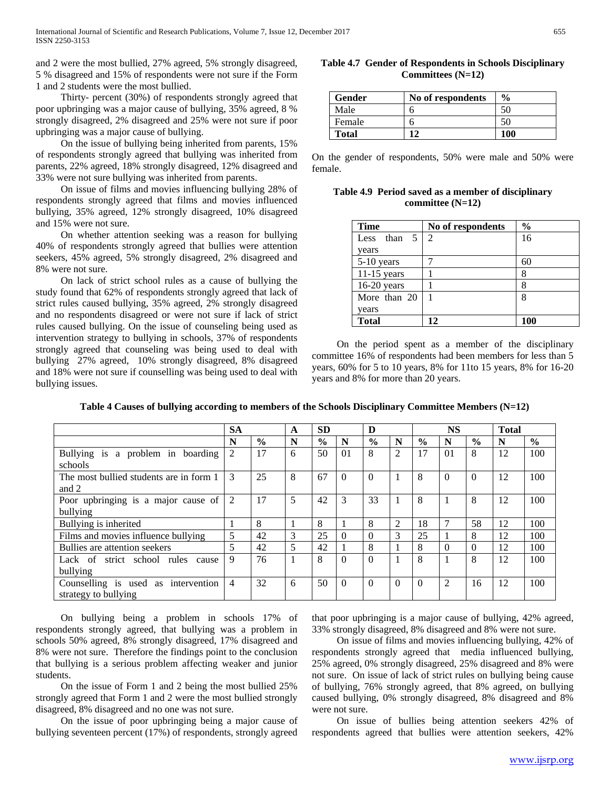and 2 were the most bullied, 27% agreed, 5% strongly disagreed, 5 % disagreed and 15% of respondents were not sure if the Form 1 and 2 students were the most bullied.

Thirty- percent (30%) of respondents strongly agreed that poor upbringing was a major cause of bullying, 35% agreed, 8 % strongly disagreed, 2% disagreed and 25% were not sure if poor upbringing was a major cause of bullying.

On the issue of bullying being inherited from parents, 15% of respondents strongly agreed that bullying was inherited from parents, 22% agreed, 18% strongly disagreed, 12% disagreed and 33% were not sure bullying was inherited from parents.

On issue of films and movies influencing bullying 28% of respondents strongly agreed that films and movies influenced bullying, 35% agreed, 12% strongly disagreed, 10% disagreed and 15% were not sure.

On whether attention seeking was a reason for bullying 40% of respondents strongly agreed that bullies were attention seekers, 45% agreed, 5% strongly disagreed, 2% disagreed and 8% were not sure.

On lack of strict school rules as a cause of bullying the study found that 62% of respondents strongly agreed that lack of strict rules caused bullying, 35% agreed, 2% strongly disagreed and no respondents disagreed or were not sure if lack of strict rules caused bullying. On the issue of counseling being used as intervention strategy to bullying in schools, 37% of respondents strongly agreed that counseling was being used to deal with bullying 27% agreed, 10% strongly disagreed, 8% disagreed and 18% were not sure if counselling was being used to deal with bullying issues.

**Table 4.7 Gender of Respondents in Schools Disciplinary Committees (N=12)**

| Gender       | No of respondents | $\frac{6}{9}$ |
|--------------|-------------------|---------------|
| Male         |                   | 50            |
| Female       |                   | 50            |
| <b>Total</b> | 14                | 100           |

On the gender of respondents, 50% were male and 50% were female.

**Table 4.9 Period saved as a member of disciplinary committee (N=12)**

| <b>Time</b>    | No of respondents | $\frac{0}{0}$ |
|----------------|-------------------|---------------|
| Less than $51$ | $\mathcal{D}$     | 16            |
| vears          |                   |               |
| 5-10 years     |                   | 60            |
| $11-15$ years  |                   |               |
| $16-20$ years  |                   |               |
| More than 20   |                   | 8             |
| vears          |                   |               |
| <b>Total</b>   | 12                | 100           |

On the period spent as a member of the disciplinary committee 16% of respondents had been members for less than 5 years, 60% for 5 to 10 years, 8% for 11to 15 years, 8% for 16-20 years and 8% for more than 20 years.

|                                                                | <b>SA</b>      |               | A | <b>SD</b>     |                | D             |                |               | <b>NS</b> |               | <b>Total</b> |               |
|----------------------------------------------------------------|----------------|---------------|---|---------------|----------------|---------------|----------------|---------------|-----------|---------------|--------------|---------------|
|                                                                | N              | $\frac{6}{6}$ | N | $\frac{0}{0}$ | N              | $\frac{0}{0}$ | N              | $\frac{0}{0}$ | N         | $\frac{0}{0}$ | N            | $\frac{6}{9}$ |
| is<br>a problem in boarding<br><b>Bullying</b><br>schools      | $\overline{2}$ | 17            | 6 | 50            | 0 <sub>1</sub> | 8             | $\overline{c}$ | 17            | 01        | 8             | 12           | 100           |
| The most bullied students are in form 1<br>and 2               | 3              | 25            | 8 | 67            | $\Omega$       | $\Omega$      |                | 8             | $\Omega$  | $\Omega$      | 12           | 100           |
| Poor upbringing is a major cause of<br>bullying                | 2              | 17            | 5 | 42            | 3              | 33            |                | 8             |           | 8             | 12           | 100           |
| Bullying is inherited                                          |                | 8             |   | 8             |                | 8             | $\overline{2}$ | 18            | 7         | 58            | 12           | 100           |
| Films and movies influence bullying                            | 5              | 42            | 3 | 25            | $\Omega$       | $\Omega$      | 3              | 25            |           | 8             | 12           | 100           |
| Bullies are attention seekers                                  | 5              | 42            | 5 | 42            |                | 8             |                | 8             | $\Omega$  | $\Omega$      | 12           | 100           |
| Lack of strict school rules<br>cause<br>bullying               | 9              | 76            |   | 8             | $\Omega$       | $\Omega$      |                | 8             |           | 8             | 12           | 100           |
| Counselling is used as<br>intervention<br>strategy to bullying | $\overline{4}$ | 32            | 6 | 50            | $\Omega$       | $\Omega$      | $\theta$       | $\Omega$      | 2         | 16            | 12           | 100           |

**Table 4 Causes of bullying according to members of the Schools Disciplinary Committee Members (N=12)**

On bullying being a problem in schools 17% of respondents strongly agreed, that bullying was a problem in schools 50% agreed, 8% strongly disagreed, 17% disagreed and 8% were not sure. Therefore the findings point to the conclusion that bullying is a serious problem affecting weaker and junior students.

On the issue of Form 1 and 2 being the most bullied 25% strongly agreed that Form 1 and 2 were the most bullied strongly disagreed, 8% disagreed and no one was not sure.

On the issue of poor upbringing being a major cause of bullying seventeen percent (17%) of respondents, strongly agreed

that poor upbringing is a major cause of bullying, 42% agreed, 33% strongly disagreed, 8% disagreed and 8% were not sure.

On issue of films and movies influencing bullying, 42% of respondents strongly agreed that media influenced bullying, 25% agreed, 0% strongly disagreed, 25% disagreed and 8% were not sure. On issue of lack of strict rules on bullying being cause of bullying, 76% strongly agreed, that 8% agreed, on bullying caused bullying, 0% strongly disagreed, 8% disagreed and 8% were not sure.

On issue of bullies being attention seekers 42% of respondents agreed that bullies were attention seekers, 42%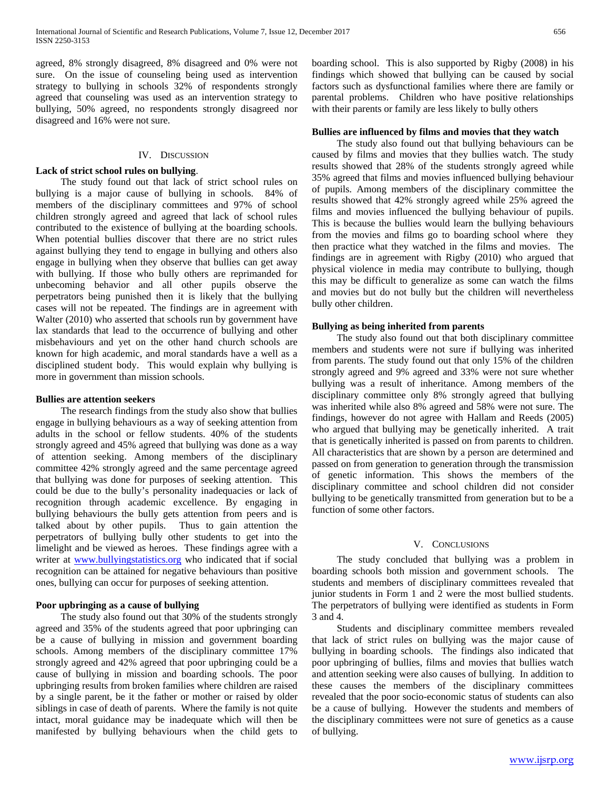agreed, 8% strongly disagreed, 8% disagreed and 0% were not sure. On the issue of counseling being used as intervention strategy to bullying in schools 32% of respondents strongly agreed that counseling was used as an intervention strategy to bullying, 50% agreed, no respondents strongly disagreed nor disagreed and 16% were not sure.

### IV. DISCUSSION

## **Lack of strict school rules on bullying**.

 The study found out that lack of strict school rules on bullying is a major cause of bullying in schools. 84% of members of the disciplinary committees and 97% of school children strongly agreed and agreed that lack of school rules contributed to the existence of bullying at the boarding schools. When potential bullies discover that there are no strict rules against bullying they tend to engage in bullying and others also engage in bullying when they observe that bullies can get away with bullying. If those who bully others are reprimanded for unbecoming behavior and all other pupils observe the perpetrators being punished then it is likely that the bullying cases will not be repeated. The findings are in agreement with Walter (2010) who asserted that schools run by government have lax standards that lead to the occurrence of bullying and other misbehaviours and yet on the other hand church schools are known for high academic, and moral standards have a well as a disciplined student body. This would explain why bullying is more in government than mission schools.

## **Bullies are attention seekers**

 The research findings from the study also show that bullies engage in bullying behaviours as a way of seeking attention from adults in the school or fellow students. 40% of the students strongly agreed and 45% agreed that bullying was done as a way of attention seeking. Among members of the disciplinary committee 42% strongly agreed and the same percentage agreed that bullying was done for purposes of seeking attention. This could be due to the bully's personality inadequacies or lack of recognition through academic excellence. By engaging in bullying behaviours the bully gets attention from peers and is talked about by other pupils. Thus to gain attention the perpetrators of bullying bully other students to get into the limelight and be viewed as heroes. These findings agree with a writer at [www.bullyingstatistics.org](http://www.bullyingstatistics.org/) who indicated that if social recognition can be attained for negative behaviours than positive ones, bullying can occur for purposes of seeking attention.

## **Poor upbringing as a cause of bullying**

 The study also found out that 30% of the students strongly agreed and 35% of the students agreed that poor upbringing can be a cause of bullying in mission and government boarding schools. Among members of the disciplinary committee 17% strongly agreed and 42% agreed that poor upbringing could be a cause of bullying in mission and boarding schools. The poor upbringing results from broken families where children are raised by a single parent, be it the father or mother or raised by older siblings in case of death of parents. Where the family is not quite intact, moral guidance may be inadequate which will then be manifested by bullying behaviours when the child gets to

boarding school. This is also supported by Rigby (2008) in his findings which showed that bullying can be caused by social factors such as dysfunctional families where there are family or parental problems. Children who have positive relationships with their parents or family are less likely to bully others

## **Bullies are influenced by films and movies that they watch**

 The study also found out that bullying behaviours can be caused by films and movies that they bullies watch. The study results showed that 28% of the students strongly agreed while 35% agreed that films and movies influenced bullying behaviour of pupils. Among members of the disciplinary committee the results showed that 42% strongly agreed while 25% agreed the films and movies influenced the bullying behaviour of pupils. This is because the bullies would learn the bullying behaviours from the movies and films go to boarding school where they then practice what they watched in the films and movies. The findings are in agreement with Rigby (2010) who argued that physical violence in media may contribute to bullying, though this may be difficult to generalize as some can watch the films and movies but do not bully but the children will nevertheless bully other children.

#### **Bullying as being inherited from parents**

 The study also found out that both disciplinary committee members and students were not sure if bullying was inherited from parents. The study found out that only 15% of the children strongly agreed and 9% agreed and 33% were not sure whether bullying was a result of inheritance. Among members of the disciplinary committee only 8% strongly agreed that bullying was inherited while also 8% agreed and 58% were not sure. The findings, however do not agree with Hallam and Reeds (2005) who argued that bullying may be genetically inherited. A trait that is genetically inherited is passed on from parents to children. All characteristics that are shown by a person are determined and passed on from generation to generation through the transmission of genetic information. This shows the members of the disciplinary committee and school children did not consider bullying to be genetically transmitted from generation but to be a function of some other factors.

#### V. CONCLUSIONS

 The study concluded that bullying was a problem in boarding schools both mission and government schools. The students and members of disciplinary committees revealed that junior students in Form 1 and 2 were the most bullied students. The perpetrators of bullying were identified as students in Form 3 and 4.

 Students and disciplinary committee members revealed that lack of strict rules on bullying was the major cause of bullying in boarding schools. The findings also indicated that poor upbringing of bullies, films and movies that bullies watch and attention seeking were also causes of bullying. In addition to these causes the members of the disciplinary committees revealed that the poor socio-economic status of students can also be a cause of bullying. However the students and members of the disciplinary committees were not sure of genetics as a cause of bullying.